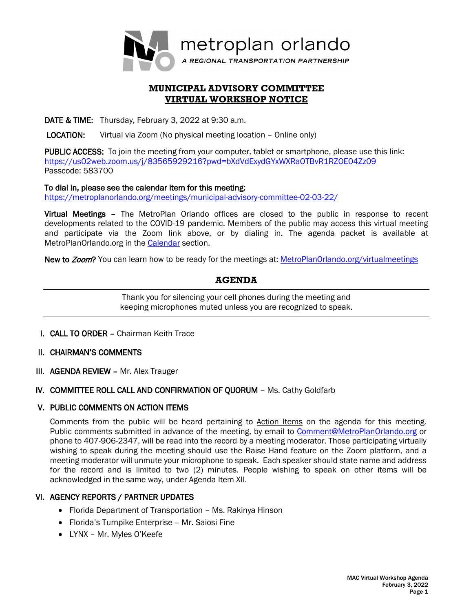

# **MUNICIPAL ADVISORY COMMITTEE VIRTUAL WORKSHOP NOTICE**

DATE & TIME: Thursday, February 3, 2022 at 9:30 a.m.

LOCATION: Virtual via Zoom (No physical meeting location - Online only)

PUBLIC ACCESS: To join the meeting from your computer, tablet or smartphone, please use this link: <https://us02web.zoom.us/j/83565929216?pwd=bXdVdExydGYxWXRaOTBvR1RZOE04Zz09> Passcode: 583700

To dial in, please see the calendar item for this meeting: https://metroplanorlando.org/meetings/municipal-advisory-committee-02-03-22/

Virtual Meetings – The MetroPlan Orlando offices are closed to the public in response to recent developments related to the COVID-19 pandemic. Members of the public may access this virtual meeting and participate via the Zoom link above, or by dialing in. The agenda packet is available at MetroPlanOrlando.org in the [Calendar](https://metroplanorlando.org/calendar/list/) section.

New to Zoom? You can learn how to be ready for the meetings at: MetroPlanOrlando.org/virtualmeetings

# **AGENDA**

Thank you for silencing your cell phones during the meeting and keeping microphones muted unless you are recognized to speak.

### I. CALL TO ORDER – Chairman Keith Trace

- II. CHAIRMAN'S COMMENTS
- III. AGENDA REVIEW Mr. Alex Trauger

### IV. COMMITTEE ROLL CALL AND CONFIRMATION OF QUORUM – Ms. Cathy Goldfarb

### V. PUBLIC COMMENTS ON ACTION ITEMS

Comments from the public will be heard pertaining to Action Items on the agenda for this meeting. Public comments submitted in advance of the meeting, by email to [Comment@MetroPlanOrlando.org](mailto:Comment@MetroPlanOrlando.org) or phone to 407-906-2347, will be read into the record by a meeting moderator. Those participating virtually wishing to speak during the meeting should use the Raise Hand feature on the Zoom platform, and a meeting moderator will unmute your microphone to speak. Each speaker should state name and address for the record and is limited to two (2) minutes. People wishing to speak on other items will be acknowledged in the same way, under Agenda Item XII.

### VI. AGENCY REPORTS / PARTNER UPDATES

- Florida Department of Transportation Ms. Rakinya Hinson
- Florida's Turnpike Enterprise Mr. Saiosi Fine
- LYNX Mr. Myles O'Keefe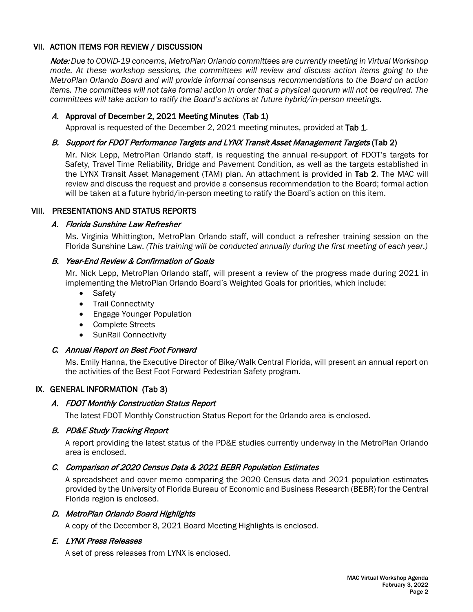# VII. ACTION ITEMS FOR REVIEW / DISCUSSION

Note: *Due to COVID-19 concerns, MetroPlan Orlando committees are currently meeting in Virtual Workshop mode. At these workshop sessions, the committees will review and discuss action items going to the MetroPlan Orlando Board and will provide informal consensus recommendations to the Board on action items. The committees will not take formal action in order that a physical quorum will not be required. The committees will take action to ratify the Board's actions at future hybrid/in-person meetings.*

# A. Approval of December 2, 2021 Meeting Minutes (Tab 1)

Approval is requested of the December 2, 2021 meeting minutes, provided at Tab 1.

# B. Support for FDOT Performance Targets and LYNX Transit Asset Management Targets (Tab 2)

Mr. Nick Lepp, MetroPlan Orlando staff, is requesting the annual re-support of FDOT's targets for Safety, Travel Time Reliability, Bridge and Pavement Condition, as well as the targets established in the LYNX Transit Asset Management (TAM) plan. An attachment is provided in Tab 2. The MAC will review and discuss the request and provide a consensus recommendation to the Board; formal action will be taken at a future hybrid/in-person meeting to ratify the Board's action on this item.

### VIII. PRESENTATIONS AND STATUS REPORTS

### A. Florida Sunshine Law Refresher

Ms. Virginia Whittington, MetroPlan Orlando staff, will conduct a refresher training session on the Florida Sunshine Law. *(This training will be conducted annually during the first meeting of each year.)*

### B. Year-End Review & Confirmation of Goals

Mr. Nick Lepp, MetroPlan Orlando staff, will present a review of the progress made during 2021 in implementing the MetroPlan Orlando Board's Weighted Goals for priorities, which include:

- Safety
- Trail Connectivity
- Engage Younger Population
- Complete Streets
- SunRail Connectivity

### C. Annual Report on Best Foot Forward

Ms. Emily Hanna, the Executive Director of Bike/Walk Central Florida, will present an annual report on the activities of the Best Foot Forward Pedestrian Safety program.

### IX. GENERAL INFORMATION (Tab 3)

### A. FDOT Monthly Construction Status Report

The latest FDOT Monthly Construction Status Report for the Orlando area is enclosed.

### B. PD&E Study Tracking Report

A report providing the latest status of the PD&E studies currently underway in the MetroPlan Orlando area is enclosed.

### C. Comparison of 2020 Census Data & 2021 BEBR Population Estimates

A spreadsheet and cover memo comparing the 2020 Census data and 2021 population estimates provided by the University of Florida Bureau of Economic and Business Research (BEBR) for the Central Florida region is enclosed.

#### D. MetroPlan Orlando Board Highlights

A copy of the December 8, 2021 Board Meeting Highlights is enclosed.

### E. LYNX Press Releases

A set of press releases from LYNX is enclosed.